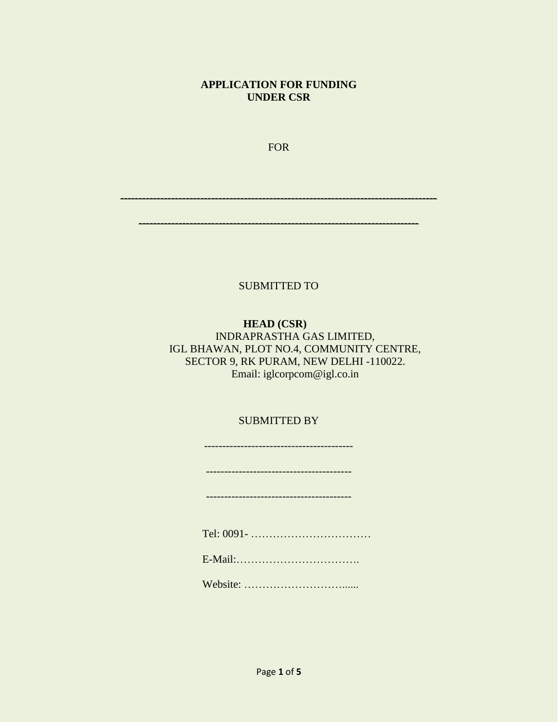### **APPLICATION FOR FUNDING UNDER CSR**

FOR

---------------------------------------------------------------------------------------

-----------------------------------------------------------------------------

SUBMITTED TO

### **HEAD (CSR)** INDRAPRASTHA GAS LIMITED, IGL BHAWAN, PLOT NO.4, COMMUNITY CENTRE, SECTOR 9, RK PURAM, NEW DELHI -110022. Email: iglcorpcom@igl.co.in

### SUBMITTED BY

----------------------------------------- ---------------------------------------- ---------------------------------------- Tel: 0091- …………………………… E-Mail:……………………………. Website: ………………………......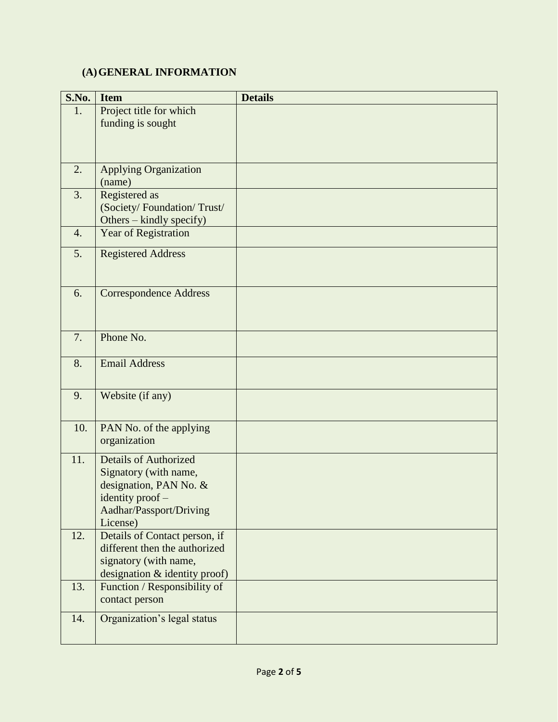## **(A)GENERAL INFORMATION**

| S.No.            | <b>Item</b>                                                                                                                                | <b>Details</b> |
|------------------|--------------------------------------------------------------------------------------------------------------------------------------------|----------------|
| 1.               | Project title for which<br>funding is sought                                                                                               |                |
| 2.               | <b>Applying Organization</b><br>(name)                                                                                                     |                |
| 3.               | Registered as<br>(Society/Foundation/Trust/<br>Others - kindly specify)                                                                    |                |
| $\overline{4}$ . | Year of Registration                                                                                                                       |                |
| 5.               | <b>Registered Address</b>                                                                                                                  |                |
| 6.               | <b>Correspondence Address</b>                                                                                                              |                |
| 7.               | Phone No.                                                                                                                                  |                |
| 8.               | <b>Email Address</b>                                                                                                                       |                |
| 9.               | Website (if any)                                                                                                                           |                |
| 10.              | PAN No. of the applying<br>organization                                                                                                    |                |
| 11.              | <b>Details of Authorized</b><br>Signatory (with name,<br>designation, PAN No. &<br>identity proof -<br>Aadhar/Passport/Driving<br>License) |                |
| 12.              | Details of Contact person, if<br>different then the authorized<br>signatory (with name,<br>designation & identity proof)                   |                |
| 13.              | Function / Responsibility of<br>contact person                                                                                             |                |
| 14.              | Organization's legal status                                                                                                                |                |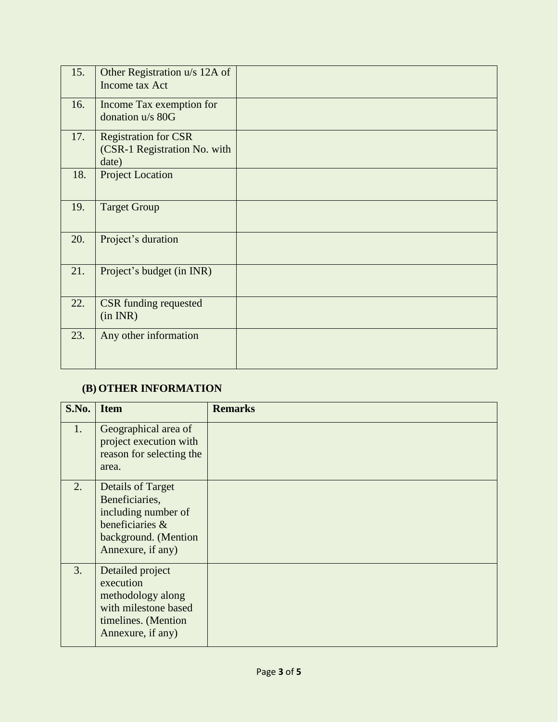| 15. | Other Registration u/s 12A of<br>Income tax Act                      |  |
|-----|----------------------------------------------------------------------|--|
| 16. | Income Tax exemption for<br>donation u/s 80G                         |  |
| 17. | <b>Registration for CSR</b><br>(CSR-1 Registration No. with<br>date) |  |
| 18. | <b>Project Location</b>                                              |  |
| 19. | <b>Target Group</b>                                                  |  |
| 20. | Project's duration                                                   |  |
| 21. | Project's budget (in INR)                                            |  |
| 22. | <b>CSR</b> funding requested<br>(in INR)                             |  |
| 23. | Any other information                                                |  |

# **(B) OTHER INFORMATION**

| S.No. | <b>Item</b>                                                                                                                       | <b>Remarks</b> |
|-------|-----------------------------------------------------------------------------------------------------------------------------------|----------------|
| 1.    | Geographical area of<br>project execution with<br>reason for selecting the<br>area.                                               |                |
| 2.    | <b>Details of Target</b><br>Beneficiaries,<br>including number of<br>beneficiaries &<br>background. (Mention<br>Annexure, if any) |                |
| 3.    | Detailed project<br>execution<br>methodology along<br>with milestone based<br>timelines. (Mention<br>Annexure, if any)            |                |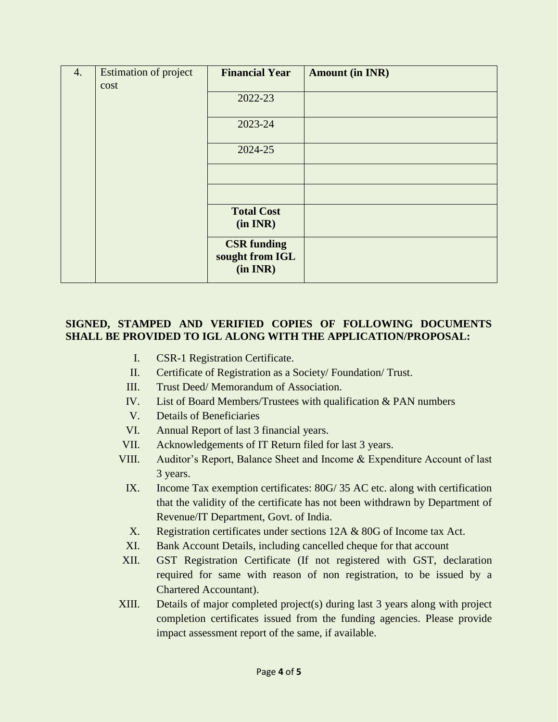| 4. | Estimation of project | <b>Financial Year</b>                             | <b>Amount (in INR)</b> |
|----|-----------------------|---------------------------------------------------|------------------------|
|    | cost                  |                                                   |                        |
|    |                       | 2022-23                                           |                        |
|    |                       | 2023-24                                           |                        |
|    |                       | 2024-25                                           |                        |
|    |                       |                                                   |                        |
|    |                       |                                                   |                        |
|    |                       | <b>Total Cost</b><br>(in INR)                     |                        |
|    |                       | <b>CSR</b> funding<br>sought from IGL<br>(in INR) |                        |

### **SIGNED, STAMPED AND VERIFIED COPIES OF FOLLOWING DOCUMENTS SHALL BE PROVIDED TO IGL ALONG WITH THE APPLICATION/PROPOSAL:**

- I. CSR-1 Registration Certificate.
- II. Certificate of Registration as a Society/ Foundation/ Trust.
- III. Trust Deed/ Memorandum of Association.
- IV. List of Board Members/Trustees with qualification & PAN numbers
- V. Details of Beneficiaries
- VI. Annual Report of last 3 financial years.
- VII. Acknowledgements of IT Return filed for last 3 years.
- VIII. Auditor's Report, Balance Sheet and Income & Expenditure Account of last 3 years.
	- IX. Income Tax exemption certificates: 80G/ 35 AC etc. along with certification that the validity of the certificate has not been withdrawn by Department of Revenue/IT Department, Govt. of India.
	- X. Registration certificates under sections 12A & 80G of Income tax Act.
	- XI. Bank Account Details, including cancelled cheque for that account
- XII. GST Registration Certificate (If not registered with GST, declaration required for same with reason of non registration, to be issued by a Chartered Accountant).
- XIII. Details of major completed project(s) during last 3 years along with project completion certificates issued from the funding agencies. Please provide impact assessment report of the same, if available.